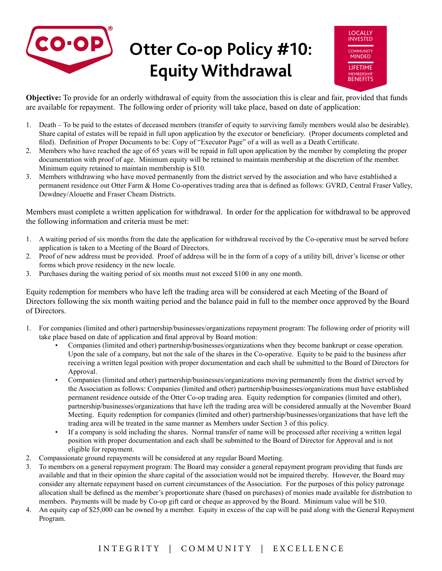



**Objective:** To provide for an orderly withdrawal of equity from the association this is clear and fair, provided that funds are available for repayment. The following order of priority will take place, based on date of application:

- 1. Death To be paid to the estates of deceased members (transfer of equity to surviving family members would also be desirable). Share capital of estates will be repaid in full upon application by the executor or beneficiary. (Proper documents completed and filed). Definition of Proper Documents to be: Copy of "Executor Page" of a will as well as a Death Certificate.
- 2. Members who have reached the age of 65 years will be repaid in full upon application by the member by completing the proper documentation with proof of age. Minimum equity will be retained to maintain membership at the discretion of the member. Minimum equity retained to maintain membership is \$10.
- 3. Members withdrawing who have moved permanently from the district served by the association and who have established a permanent residence out Otter Farm & Home Co-operatives trading area that is defined as follows: GVRD, Central Fraser Valley, Dewdney/Alouette and Fraser Cheam Districts.

Members must complete a written application for withdrawal. In order for the application for withdrawal to be approved the following information and criteria must be met:

- 1. A waiting period of six months from the date the application for withdrawal received by the Co-operative must be served before application is taken to a Meeting of the Board of Directors.
- 2. Proof of new address must be provided. Proof of address will be in the form of a copy of a utility bill, driver's license or other forms which prove residency in the new locale.
- 3. Purchases during the waiting period of six months must not exceed \$100 in any one month.

Equity redemption for members who have left the trading area will be considered at each Meeting of the Board of Directors following the six month waiting period and the balance paid in full to the member once approved by the Board of Directors.

- 1. For companies (limited and other) partnership/businesses/organizations repayment program: The following order of priority will take place based on date of application and final approval by Board motion:
	- Companies (limited and other) partnership/businesses/organizations when they become bankrupt or cease operation. Upon the sale of a company, but not the sale of the shares in the Co-operative. Equity to be paid to the business after receiving a written legal position with proper documentation and each shall be submitted to the Board of Directors for Approval.
	- Companies (limited and other) partnership/businesses/organizations moving permanently from the district served by the Association as follows: Companies (limited and other) partnership/businesses/organizations must have established permanent residence outside of the Otter Co-op trading area. Equity redemption for companies (limited and other), partnership/businesses/organizations that have left the trading area will be considered annually at the November Board Meeting. Equity redemption for companies (limited and other) partnership/businesses/organizations that have left the trading area will be treated in the same manner as Members under Section 3 of this policy.
	- If a company is sold including the shares. Normal transfer of name will be processed after receiving a written legal position with proper documentation and each shall be submitted to the Board of Director for Approval and is not eligible for repayment.
- 2. Compassionate ground repayments will be considered at any regular Board Meeting.
- 3. To members on a general repayment program: The Board may consider a general repayment program providing that funds are available and that in their opinion the share capital of the association would not be impaired thereby. However, the Board may consider any alternate repayment based on current circumstances of the Association. For the purposes of this policy patronage allocation shall be defined as the member's proportionate share (based on purchases) of monies made available for distribution to members. Payments will be made by Co-op gift card or cheque as approved by the Board. Minimum value will be \$10.
- 4. An equity cap of \$25,000 can be owned by a member. Equity in excess of the cap will be paid along with the General Repayment Program.